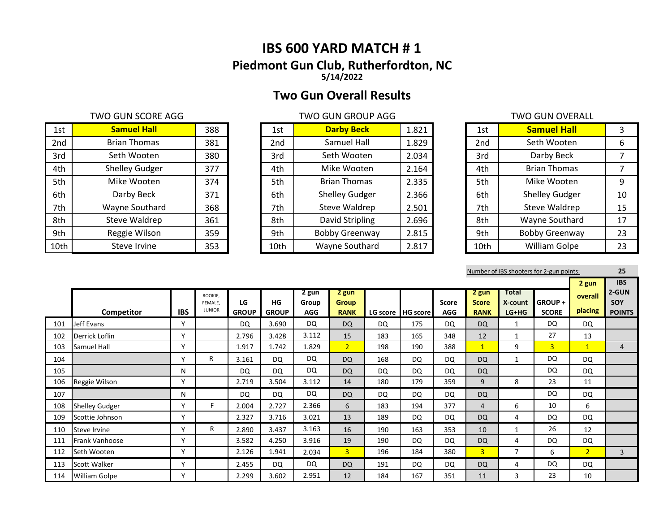# **IBS 600 YARD MATCH # 1 Piedmont Gun Club, Rutherfordton, NC 5/14/2022**

# **Two Gun Overall Results**

## TWO GUN SCORE AGG TWO GUN GROUP AGG TWO GUN GROUP AGG TWO GUN OVERALL

| 1st  | <b>Samuel Hall</b>    | 388 | 1st             | <b>Darby Beck</b>     | 1.821 | 1st  | <b>Samuel Hall</b>    |    |
|------|-----------------------|-----|-----------------|-----------------------|-------|------|-----------------------|----|
| 2nd  | <b>Brian Thomas</b>   | 381 | 2 <sub>nd</sub> | Samuel Hall           | 1.829 | 2nd  | Seth Wooten           | 6  |
| 3rd  | Seth Wooten           | 380 | 3rd             | Seth Wooten           | 2.034 | 3rd  | Darby Beck            |    |
| 4th  | <b>Shelley Gudger</b> | 377 | 4th             | Mike Wooten           | 2.164 | 4th  | <b>Brian Thomas</b>   |    |
| 5th  | Mike Wooten           | 374 | 5th             | <b>Brian Thomas</b>   | 2.335 | 5th  | Mike Wooten           | 9  |
| 6th  | Darby Beck            | 371 | 6th             | <b>Shelley Gudger</b> | 2.366 | 6th  | <b>Shelley Gudger</b> | 10 |
| 7th  | Wayne Southard        | 368 | 7th             | Steve Waldrep         | 2.501 | 7th  | Steve Waldrep         | 15 |
| 8th  | Steve Waldrep         | 361 | 8th             | David Stripling       | 2.696 | 8th  | Wayne Southard        | 17 |
| 9th  | Reggie Wilson         | 359 | 9th             | <b>Bobby Greenway</b> | 2.815 | 9th  | <b>Bobby Greenway</b> | 23 |
| 10th | Steve Irvine          | 353 | 10th            | Wayne Southard        | 2.817 | 10th | <b>William Golpe</b>  | 23 |

| 1st             | <b>Darby Beck</b>     | 1.821 |
|-----------------|-----------------------|-------|
| 2 <sub>nd</sub> | Samuel Hall           | 1.829 |
| 3rd             | Seth Wooten           | 2.034 |
| 4th             | Mike Wooten           | 2.164 |
| 5th             | <b>Brian Thomas</b>   | 2.335 |
| 6th             | <b>Shelley Gudger</b> | 2.366 |
| 7th             | <b>Steve Waldrep</b>  | 2.501 |
| 8th             | David Stripling       | 2.696 |
| 9th             | <b>Bobby Greenway</b> | 2.815 |
| 10th            | Wayne Southard        | 2.817 |

|                 | I WU QUIN UVLNALL     |    |
|-----------------|-----------------------|----|
| 1st             | <b>Samuel Hall</b>    | 3  |
| 2 <sub>nd</sub> | Seth Wooten           | 6  |
| 3rd             | Darby Beck            | 7  |
| 4th             | <b>Brian Thomas</b>   | 7  |
| 5th             | Mike Wooten           | 9  |
| 6th             | <b>Shelley Gudger</b> | 10 |
| 7th             | <b>Steve Waldrep</b>  | 15 |
| 8th             | Wayne Southard        | 17 |
| 9th             | <b>Bobby Greenway</b> | 23 |
| 10th            | William Golpe         | 23 |

|     | Number of IBS shooters for 2-gun points: |            |                                     |                    |                    |                              |                                      |     |                     |                     |                                      |                             |                               |                             | 25                                          |
|-----|------------------------------------------|------------|-------------------------------------|--------------------|--------------------|------------------------------|--------------------------------------|-----|---------------------|---------------------|--------------------------------------|-----------------------------|-------------------------------|-----------------------------|---------------------------------------------|
|     | Competitor                               | <b>IBS</b> | ROOKIE.<br>FEMALE.<br><b>JUNIOR</b> | LG<br><b>GROUP</b> | HG<br><b>GROUP</b> | 2 gun<br>Group<br><b>AGG</b> | 2 gun<br><b>Group</b><br><b>RANK</b> |     | LG score   HG score | Score<br><b>AGG</b> | 2 gun<br><b>Score</b><br><b>RANK</b> | Total<br>X-count<br>$LG+HG$ | <b>GROUP+</b><br><b>SCORE</b> | 2 gun<br>overall<br>placing | <b>IBS</b><br>2-GUN<br>SOY<br><b>POINTS</b> |
| 101 | Jeff Evans                               | v          |                                     | <b>DQ</b>          | 3.690              | DQ                           | <b>DQ</b>                            | DQ  | 175                 | <b>DQ</b>           | <b>DQ</b>                            |                             | DQ                            | DQ                          |                                             |
| 102 | Derrick Loflin                           | v          |                                     | 2.796              | 3.428              | 3.112                        | 15                                   | 183 | 165                 | 348                 | 12                                   |                             | 27                            | 13                          |                                             |
| 103 | Samuel Hall                              | Υ          |                                     | 1.917              | 1.742              | 1.829                        | 2 <sup>1</sup>                       | 198 | 190                 | 388                 | $\mathbf{1}$                         | 9                           | $\overline{3}$                | $\mathbf{1}$                | $\overline{4}$                              |
| 104 |                                          | ٧          | R                                   | 3.161              | DQ                 | <b>DQ</b>                    | <b>DQ</b>                            | 168 | DQ                  | DQ                  | <b>DQ</b>                            | 1                           | DQ                            | <b>DQ</b>                   |                                             |
| 105 |                                          | N          |                                     | DQ                 | DQ                 | DQ                           | <b>DQ</b>                            | DQ  | <b>DQ</b>           | DQ                  | <b>DQ</b>                            |                             | DQ                            | <b>DQ</b>                   |                                             |
| 106 | Reggie Wilson                            | Υ          |                                     | 2.719              | 3.504              | 3.112                        | 14                                   | 180 | 179                 | 359                 | 9                                    | 8                           | 23                            | 11                          |                                             |
| 107 |                                          | N          |                                     | <b>DQ</b>          | DQ                 | DQ                           | <b>DQ</b>                            | DQ  | DQ                  | <b>DQ</b>           | <b>DQ</b>                            |                             | DQ                            | DQ                          |                                             |
| 108 | <b>Shelley Gudger</b>                    | v          | F.                                  | 2.004              | 2.727              | 2.366                        | 6                                    | 183 | 194                 | 377                 | $\overline{4}$                       | 6                           | 10                            | 6                           |                                             |
| 109 | Scottie Johnson                          | γ          |                                     | 2.327              | 3.716              | 3.021                        | 13                                   | 189 | DQ                  | DQ                  | <b>DQ</b>                            | 4                           | DQ                            | <b>DQ</b>                   |                                             |
| 110 | Steve Irvine                             | v          | R                                   | 2.890              | 3.437              | 3.163                        | 16                                   | 190 | 163                 | 353                 | 10                                   | 1                           | 26                            | 12                          |                                             |
| 111 | Frank Vanhoose                           | Y          |                                     | 3.582              | 4.250              | 3.916                        | 19                                   | 190 | <b>DQ</b>           | <b>DQ</b>           | <b>DQ</b>                            | 4                           | <b>DQ</b>                     | DQ                          |                                             |
| 112 | Seth Wooten                              | Y          |                                     | 2.126              | 1.941              | 2.034                        | 3 <sup>1</sup>                       | 196 | 184                 | 380                 | $\overline{3}$                       | $\overline{7}$              | 6                             | 2 <sup>1</sup>              | $\overline{3}$                              |
| 113 | Scott Walker                             | Y          |                                     | 2.455              | <b>DQ</b>          | <b>DQ</b>                    | <b>DQ</b>                            | 191 | <b>DQ</b>           | <b>DQ</b>           | <b>DQ</b>                            | 4                           | <b>DQ</b>                     | DQ                          |                                             |
| 114 | <b>William Golpe</b>                     | Υ          |                                     | 2.299              | 3.602              | 2.951                        | 12                                   | 184 | 167                 | 351                 | 11                                   | 3                           | 23                            | 10                          |                                             |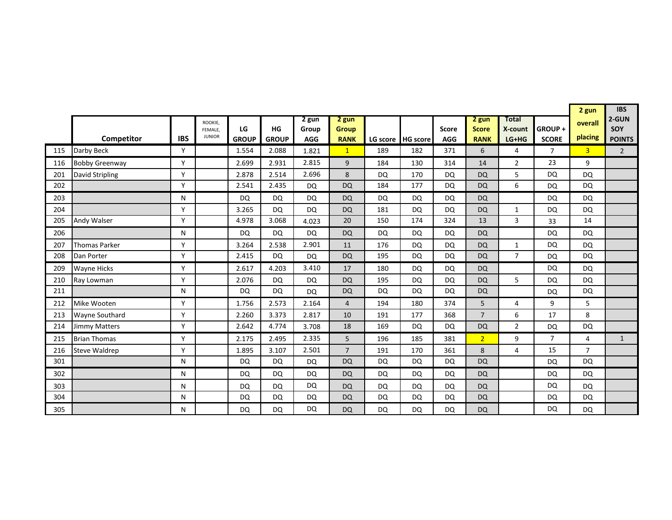|     |                       |            |                          |                       |                       |            | 2 gun          | <b>IBS</b>      |                        |                   |                  |                |                        |                |                |
|-----|-----------------------|------------|--------------------------|-----------------------|-----------------------|------------|----------------|-----------------|------------------------|-------------------|------------------|----------------|------------------------|----------------|----------------|
|     |                       |            | ROOKIE,                  |                       |                       | 2 gun      | 2 gun          |                 |                        |                   | 2 gun            | Total          |                        | overall        | 2-GUN          |
|     |                       | <b>IBS</b> | FEMALE.<br><b>JUNIOR</b> | LG                    | HG                    | Group      | <b>Group</b>   |                 |                        | <b>Score</b>      | <b>Score</b>     | X-count        | GROUP+<br><b>SCORE</b> | placing        | SOY            |
| 115 | Competitor            | Y          |                          | <b>GROUP</b><br>1.554 | <b>GROUP</b><br>2.088 | <b>AGG</b> | <b>RANK</b>    | LG score<br>189 | <b>HG</b> score<br>182 | <b>AGG</b><br>371 | <b>RANK</b><br>6 | $LG+HG$<br>4   |                        |                | <b>POINTS</b>  |
|     | Darby Beck            |            |                          |                       |                       | 1.821      | $\mathbf{1}$   |                 |                        |                   |                  |                | $\overline{7}$         | 3 <sup>2</sup> | $\overline{2}$ |
| 116 | <b>Bobby Greenway</b> | Y          |                          | 2.699                 | 2.931                 | 2.815      | 9              | 184             | 130                    | 314               | 14               | $\overline{2}$ | 23                     | 9              |                |
| 201 | David Stripling       | Y          |                          | 2.878                 | 2.514                 | 2.696      | 8              | <b>DQ</b>       | 170                    | <b>DQ</b>         | <b>DQ</b>        | 5              | <b>DQ</b>              | <b>DQ</b>      |                |
| 202 |                       | Y          |                          | 2.541                 | 2.435                 | <b>DQ</b>  | <b>DQ</b>      | 184             | 177                    | <b>DQ</b>         | <b>DQ</b>        | 6              | <b>DQ</b>              | <b>DQ</b>      |                |
| 203 |                       | N          |                          | <b>DQ</b>             | <b>DQ</b>             | DQ         | <b>DQ</b>      | DQ              | DQ                     | <b>DQ</b>         | <b>DQ</b>        |                | <b>DQ</b>              | DQ             |                |
| 204 |                       | Y          |                          | 3.265                 | <b>DQ</b>             | <b>DQ</b>  | <b>DQ</b>      | 181             | DQ                     | <b>DQ</b>         | <b>DQ</b>        | $\mathbf{1}$   | <b>DQ</b>              | <b>DQ</b>      |                |
| 205 | Andy Walser           | Y          |                          | 4.978                 | 3.068                 | 4.023      | 20             | 150             | 174                    | 324               | 13               | 3              | 33                     | 14             |                |
| 206 |                       | N          |                          | DQ                    | <b>DQ</b>             | <b>DQ</b>  | <b>DQ</b>      | DQ              | <b>DQ</b>              | DQ                | <b>DQ</b>        |                | DQ                     | DQ             |                |
| 207 | <b>Thomas Parker</b>  | Y          |                          | 3.264                 | 2.538                 | 2.901      | 11             | 176             | <b>DQ</b>              | <b>DQ</b>         | <b>DQ</b>        | 1              | <b>DQ</b>              | DQ             |                |
| 208 | Dan Porter            | Y          |                          | 2.415                 | <b>DQ</b>             | DQ         | <b>DQ</b>      | 195             | DQ                     | <b>DQ</b>         | <b>DQ</b>        | $\overline{7}$ | <b>DQ</b>              | DQ             |                |
| 209 | <b>Wayne Hicks</b>    | Y          |                          | 2.617                 | 4.203                 | 3.410      | 17             | 180             | DQ                     | <b>DQ</b>         | <b>DQ</b>        |                | <b>DQ</b>              | DQ             |                |
| 210 | Ray Lowman            | Y          |                          | 2.076                 | <b>DQ</b>             | <b>DQ</b>  | <b>DQ</b>      | 195             | <b>DQ</b>              | <b>DQ</b>         | <b>DQ</b>        | 5              | <b>DQ</b>              | <b>DQ</b>      |                |
| 211 |                       | N          |                          | DQ                    | <b>DQ</b>             | <b>DQ</b>  | <b>DQ</b>      | <b>DQ</b>       | <b>DQ</b>              | <b>DQ</b>         | <b>DQ</b>        |                | <b>DQ</b>              | <b>DQ</b>      |                |
| 212 | Mike Wooten           | Y          |                          | 1.756                 | 2.573                 | 2.164      | $\overline{4}$ | 194             | 180                    | 374               | 5                | 4              | 9                      | 5              |                |
| 213 | <b>Wayne Southard</b> | Y          |                          | 2.260                 | 3.373                 | 2.817      | 10             | 191             | 177                    | 368               | $\overline{7}$   | 6              | 17                     | 8              |                |
| 214 | Jimmy Matters         | Y          |                          | 2.642                 | 4.774                 | 3.708      | 18             | 169             | <b>DQ</b>              | <b>DQ</b>         | <b>DQ</b>        | $\overline{2}$ | <b>DQ</b>              | DQ             |                |
| 215 | <b>Brian Thomas</b>   | Y          |                          | 2.175                 | 2.495                 | 2.335      | 5              | 196             | 185                    | 381               | $\overline{2}$   | 9              | $\overline{7}$         | 4              | $\mathbf{1}$   |
| 216 | Steve Waldrep         | Y          |                          | 1.895                 | 3.107                 | 2.501      | $\overline{7}$ | 191             | 170                    | 361               | 8                | 4              | 15                     | $\overline{7}$ |                |
| 301 |                       | N          |                          | <b>DQ</b>             | <b>DQ</b>             | <b>DQ</b>  | <b>DQ</b>      | <b>DQ</b>       | <b>DQ</b>              | <b>DQ</b>         | <b>DQ</b>        |                | <b>DQ</b>              | <b>DQ</b>      |                |
| 302 |                       | N          |                          | <b>DQ</b>             | <b>DQ</b>             | <b>DQ</b>  | <b>DQ</b>      | <b>DQ</b>       | <b>DQ</b>              | <b>DQ</b>         | <b>DQ</b>        |                | <b>DQ</b>              | <b>DQ</b>      |                |
| 303 |                       | N          |                          | <b>DQ</b>             | <b>DQ</b>             | <b>DQ</b>  | <b>DQ</b>      | DQ              | DQ                     | <b>DQ</b>         | <b>DQ</b>        |                | <b>DQ</b>              | DQ             |                |
| 304 |                       | N          |                          | <b>DQ</b>             | DQ                    | DQ         | <b>DQ</b>      | DQ              | <b>DQ</b>              | <b>DQ</b>         | <b>DQ</b>        |                | <b>DQ</b>              | <b>DQ</b>      |                |
| 305 |                       | N          |                          | <b>DQ</b>             | <b>DQ</b>             | <b>DQ</b>  | <b>DQ</b>      | <b>DQ</b>       | DQ                     | <b>DQ</b>         | <b>DQ</b>        |                | <b>DQ</b>              | <b>DQ</b>      |                |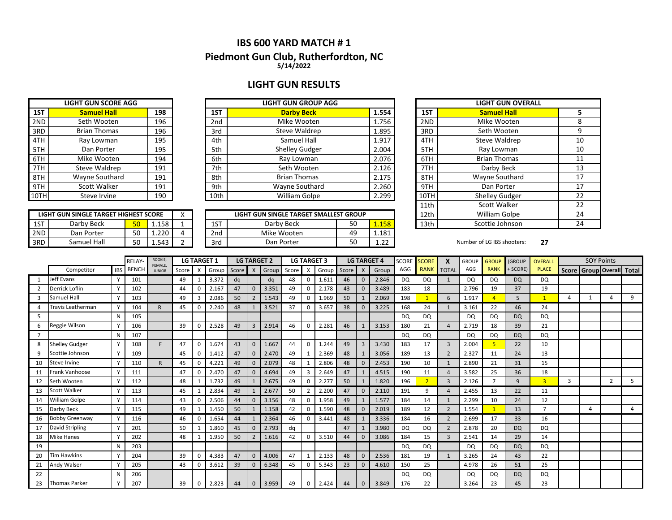## **IBS 600 YARD MATCH # 1 5/14/2022 Piedmont Gun Club, Rutherfordton, NC**

## **LIGHT GUN RESULTS**

|     | <b>LIGHT GUN SCORE AGG</b> |     |
|-----|----------------------------|-----|
| 1ST | <b>Samuel Hall</b>         | 198 |
| 2ND | Seth Wooten                | 196 |
| 3RD | <b>Brian Thomas</b>        | 196 |
| 4TH | Ray Lowman                 | 195 |
| 5TH | Dan Porter                 | 195 |
| 6TH | Mike Wooten                | 194 |
| 7TH | Steve Waldrep              | 191 |
| 8TH | Wayne Southard             | 191 |
| 9TH | Scott Walker               | 191 |
|     | Steve Irvine               | 190 |

|      | LIGHT GUN SINGLE TARGET HIGHEST SCORE |    |       |  |
|------|---------------------------------------|----|-------|--|
| 1ST  | Darby Beck                            |    | 1.158 |  |
| 2ND. | Dan Porter                            | 50 | 1 220 |  |
| 3RD. | Samuel Hall                           | 50 | 1 543 |  |

|      | <b>LIGHT GUN SCORE AGG</b> |     |                 | <b>LIGHT GUN GROUP AGG</b> |       |
|------|----------------------------|-----|-----------------|----------------------------|-------|
| 1ST  | <b>Samuel Hall</b>         | 198 | 1ST             | <b>Darby Beck</b>          | 1.554 |
| 2ND  | Seth Wooten                | 196 | 2 <sub>nd</sub> | Mike Wooten                | 1.756 |
| 3RD  | <b>Brian Thomas</b>        | 196 | 3rd             | Steve Waldrep              | 1.895 |
| 4TH  | Ray Lowman                 | 195 | 4th             | Samuel Hall                | 1.917 |
| 5TH  | Dan Porter                 | 195 | 5th             | <b>Shelley Gudger</b>      | 2.004 |
| 6TH  | Mike Wooten                | 194 | 6th             | Ray Lowman                 | 2.076 |
| 7TH  | Steve Waldrep              | 191 | 7th             | Seth Wooten                | 2.126 |
| 8TH  | Wayne Southard             | 191 | 8th             | <b>Brian Thomas</b>        | 2.175 |
| 9TH  | Scott Walker               | 191 | 9th             | Wayne Southard             | 2.260 |
| 10TH | Steve Irvine               | 190 | 10th            | William Golpe              | 2.299 |

|     | LIGHT GUN SINGLE TARGET HIGHEST SCORE |     |              | $\lambda$ |                 | LIGHT GUN SINGLE TARGET SMALLEST GROUP |    |                      | 12th | <b>William Golpe</b>       |    |
|-----|---------------------------------------|-----|--------------|-----------|-----------------|----------------------------------------|----|----------------------|------|----------------------------|----|
| 1ST | Darby Beck                            | En. | 158<br>⊥.⊥J∪ |           | 1ST             | Darby Beck                             | 50 | 1.158                | 13th | Scottie Johnson            |    |
| 2ND | Dan Porter                            | 50  | 1.220        |           | 2 <sub>nd</sub> | Mike Wooten                            | 49 | 1.181                |      |                            |    |
| 3RD | Samuel Hall                           | 50  | 1.543        |           | 3rd             | Dan Porter                             | 50 | $\mathbf{a}$<br>∸∙∠⊥ |      | Number of LG IBS shooters: | 27 |

|      | <b>LIGHT GUN OVERALL</b> |    |
|------|--------------------------|----|
| 1ST  | <b>Samuel Hall</b>       | 5  |
| 2ND  | Mike Wooten              | 8  |
| 3RD  | Seth Wooten              | 9  |
| 4TH  | Steve Waldrep            | 10 |
| 5TH  | Ray Lowman               | 10 |
| 6TH  | <b>Brian Thomas</b>      | 11 |
| 7TH  | Darby Beck               | 13 |
| 8TH  | Wayne Southard           | 17 |
| 9TH  | Dan Porter               | 17 |
| 10TH | <b>Shelley Gudger</b>    | 22 |
| 11th | <b>Scott Walker</b>      | 22 |
| 12th | William Golpe            | 24 |
| 13th | Scottie Johnson          | 24 |

|    |                       |              | <b>RELAY</b> | ROOKIE,<br>FEMALE, |       | <b>LG TARGET 1</b> |       | <b>LG TARGET 2</b> |                |       |       | <b>LG TARGET 3</b>        |       |       | <b>LG TARGET 4</b> |       | <b>SCORE</b> | <b>SCORE</b>   |                | <b>GROUP</b> | <b>GROUP</b> | <b>(GROUP</b> | <b>OVERALL</b> |              | <b>SOY Points</b>   |                |   |
|----|-----------------------|--------------|--------------|--------------------|-------|--------------------|-------|--------------------|----------------|-------|-------|---------------------------|-------|-------|--------------------|-------|--------------|----------------|----------------|--------------|--------------|---------------|----------------|--------------|---------------------|----------------|---|
|    | Competitor            | <b>IBS</b>   | <b>BENCH</b> | <b>JUNIOR</b>      | Score | X                  | Group | Score              | $\mathsf{X}$   | Group | Score | $\boldsymbol{\mathsf{x}}$ | Group | Score | $\mathsf{x}$       | Group | AGG          | <b>RANK</b>    | <b>TOTAL</b>   | AGG          | <b>RANK</b>  | + SCORE)      | <b>PLACE</b>   | <b>Score</b> | Group Overall Total |                |   |
|    | Jeff Evans            | $\vee$       | 101          |                    | 49    |                    | 3.372 | dq                 |                | dq    | 48    | 0                         | 1.611 | 46    | $\Omega$           | 2.846 | <b>DQ</b>    | DQ             | $\mathbf{1}$   | <b>DQ</b>    | <b>DQ</b>    | <b>DQ</b>     | DQ.            |              |                     |                |   |
|    | Derrick Loflin        | $\vee$       | 102          |                    | 44    | $\Omega$           | 2.167 | 47                 | $\Omega$       | 3.351 | 49    | $\Omega$                  | 2.178 | 43    | $\Omega$           | 3.489 | 183          | 18             |                | 2.796        | 19           | 37            | 19             |              |                     |                |   |
| 3  | Samuel Hall           | $\vee$       | 103          |                    | 49    | 3                  | 2.086 | 50                 | $\overline{2}$ | 1.543 | 49    | 0                         | 1.969 | 50    |                    | 2.069 | 198          |                | 6              | 1.917        |              | 5             | $\mathbf{1}$   | 4            |                     |                | 9 |
|    | Travis Leatherman     | $\vee$       | 104          | R.                 | 45    | 0                  | 2.240 | 48                 |                | 3.521 | 37    | 0                         | 3.657 | 38    | 0                  | 3.225 | 168          | 24             | 1              | 3.161        | 22           | 46            | 24             |              |                     |                |   |
| 5  |                       | N            | 105          |                    |       |                    |       |                    |                |       |       |                           |       |       |                    |       | <b>DQ</b>    | DQ             |                | <b>DQ</b>    | <b>DQ</b>    | <b>DQ</b>     | DQ             |              |                     |                |   |
| 6  | Reggie Wilson         | <b>V</b>     | 106          |                    | 39    | 0                  | 2.528 | 49                 | $\overline{3}$ | 2.914 | 46    | $\mathbf 0$               | 2.281 | 46    |                    | 3.153 | 180          | 21             | $\Delta$       | 2.719        | 18           | 39            | 21             |              |                     |                |   |
|    |                       | N            | 107          |                    |       |                    |       |                    |                |       |       |                           |       |       |                    |       | <b>DQ</b>    | DQ             |                | <b>DQ</b>    | <b>DQ</b>    | <b>DQ</b>     | DQ             |              |                     |                |   |
| 8  | <b>Shelley Gudger</b> |              | 108          |                    | 47    | $\Omega$           | 1.674 | 43                 | $\mathbf{0}$   | 1.667 | 44    | 0                         | 1.244 | 49    | $\overline{3}$     | 3.430 | 183          | 17             | 3              | 2.004        |              | 22            | 10             |              |                     |                |   |
| 9  | Scottie Johnson       |              | 109          |                    | 45    | 0                  | 1.412 | 47                 | $\mathbf{0}$   | 2.470 | 49    |                           | 2.369 | 48    |                    | 3.056 | 189          | 13             | $\overline{2}$ | 2.327        | 11           | 24            | 13             |              |                     |                |   |
| 10 | Steve Irvine          |              | 110          | $\mathsf{R}$       | 45    | $\Omega$           | 4.221 | 49                 | $\mathbf 0$    | 2.079 | 48    |                           | 2.806 | 48    | $\Omega$           | 2.453 | 190          | 10             |                | 2.890        | 21           | 31            | 15             |              |                     |                |   |
| 11 | <b>Frank Vanhoose</b> |              | 111          |                    | 47    | $\Omega$           | 2.470 | 47                 | $\Omega$       | 4.694 | 49    | 3                         | 2.649 | 47    |                    | 4.515 | 190          | 11             | $\Delta$       | 3.582        | 25           | 36            | 18             |              |                     |                |   |
| 12 | Seth Wooten           | <b>V</b>     | 112          |                    | 48    |                    | 1.732 | 49                 |                | 2.675 | 49    | 0                         | 2.277 | 50    |                    | 1.820 | 196          | $\overline{2}$ | 3              | 2.126        |              | 9             | $\overline{3}$ | 3            |                     | $\overline{2}$ | 5 |
| 13 | <b>Scott Walker</b>   | $\mathbf v$  | 113          |                    | 45    |                    | 2.834 | 49                 | $\mathbf{1}$   | 2.677 | 50    |                           | 2.200 | 47    | $\Omega$           | 2.110 | 191          | 9              | $\overline{a}$ | 2.455        | 13           | 22            | 11             |              |                     |                |   |
| 14 | <b>William Golpe</b>  |              | 114          |                    | 43    | $\Omega$           | 2.506 | 44                 | $\Omega$       | 3.156 | 48    |                           | 1.958 | 49    |                    | 1.577 | 184          | 14             | $\mathbf{1}$   | 2.299        | 10           | 24            | 12             |              |                     |                |   |
| 15 | Darby Beck            | $\mathbf v$  | 115          |                    | 49    |                    | 1.450 | 50                 |                | 1.158 | 42    | $\Omega$                  | 1.590 | 48    |                    | 2.019 | 189          | 12             | $\overline{2}$ | 1.554        |              | 13            | E              |              | $\overline{a}$      |                |   |
| 16 | <b>Bobby Greenway</b> | $\mathbf{v}$ | 116          |                    | 46    | $\Omega$           | 1.654 | 44                 |                | 2.364 | 46    | 0                         | 3.441 | 48    |                    | 3.336 | 184          | 16             | $\overline{2}$ | 2.699        | 17           | 33            | 16             |              |                     |                |   |
| 17 | David Stripling       | $\mathsf{v}$ | 201          |                    | 50    |                    | 1.860 | 45                 | $\Omega$       | 2.793 | dq    |                           |       | 47    |                    | 3.980 | <b>DQ</b>    | <b>DQ</b>      | $\overline{2}$ | 2.878        | 20           | <b>DQ</b>     | DQ             |              |                     |                |   |
| 18 | <b>Mike Hanes</b>     | $\vee$       | 202          |                    | 48    |                    | 1.950 | 50                 | $\overline{2}$ | 1.616 | 42    | 0                         | 3.510 | 44    |                    | 3.086 | 184          | 15             | 3              | 2.541        | 14           | 29            | 14             |              |                     |                |   |
| 19 |                       | N            | 203          |                    |       |                    |       |                    |                |       |       |                           |       |       |                    |       | <b>DQ</b>    | DQ             |                | <b>DQ</b>    | DQ           | <b>DQ</b>     | DQ.            |              |                     |                |   |
| 20 | <b>Tim Hawkins</b>    | $\vee$       | 204          |                    | 39    | $\Omega$           | 4.383 | 47                 | $\mathbf{0}$   | 4.006 | 47    |                           | 2.133 | 48    | $\Omega$           | 2.536 | 181          | 19             | $\mathbf{1}$   | 3.265        | 24           | 43            | 22             |              |                     |                |   |
| 21 | Andy Walser           | $\vee$       | 205          |                    | 43    | $\Omega$           | 3.612 | 39                 | $\Omega$       | 6.348 | 45    | 0                         | 5.343 | 23    | $\Omega$           | 4.610 | 150          | 25             |                | 4.978        | 26           | 51            | 25             |              |                     |                |   |
| 22 |                       | N            | 206          |                    |       |                    |       |                    |                |       |       |                           |       |       |                    |       | <b>DQ</b>    | DQ             |                | <b>DQ</b>    | DQ           | <b>DQ</b>     | DQ.            |              |                     |                |   |
| 23 | <b>Thomas Parker</b>  | $\mathsf{v}$ | 207          |                    | 39    | $\Omega$           | 2.823 | 44                 | $\Omega$       | 3.959 | 49    | $\Omega$                  | 2.424 | 44    | $\Omega$           | 3.849 | 176          | 22             |                | 3.264        | 23           | 45            | 23             |              |                     |                |   |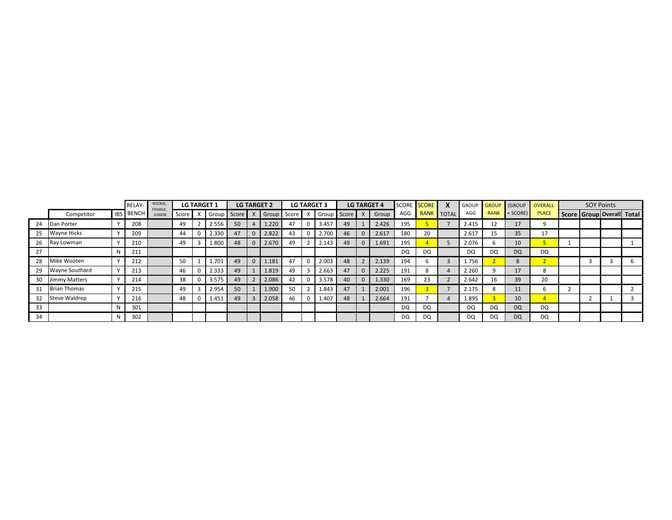|    |                       |   | <b>RELAY-</b>    | ROOKIE,<br>FEMALE, |         | <b>LG TARGET 1</b> |             | <b>LG TARGET 2</b> |              |       |         | <b>LG TARGET 3</b> |                 |    |             | <b>LG TARGET 4</b> |     | SCORE SCORE       | <b>GROUP</b> | GROUP       | (GROUP       | OVERALL      | <b>SOY Points</b> |                                 |  |  |
|----|-----------------------|---|------------------|--------------------|---------|--------------------|-------------|--------------------|--------------|-------|---------|--------------------|-----------------|----|-------------|--------------------|-----|-------------------|--------------|-------------|--------------|--------------|-------------------|---------------------------------|--|--|
|    | Competitor            |   | <b>IBS BENCH</b> | <b>JUNIOR</b>      | Score I |                    | Group Score |                    |              | Group | Score I |                    | X Group Score X |    |             | Group              | AGG | <b>RANK</b> TOTAL | AGG          | <b>RANK</b> | $+$ SCORE)   | <b>PLACE</b> |                   | Score   Group   Overall   Total |  |  |
| 24 | Dan Porter            |   | 208              |                    | 49      |                    | 2.556       | 50                 |              | 1.220 | 47      | 0                  | 3.457           | 49 |             | 2.426              | 195 |                   | 2.415        | 12          | 17           |              |                   |                                 |  |  |
| 25 | <b>Wayne Hicks</b>    |   | 209              |                    | 44      |                    | 2.330       | 47                 | $\Omega$     | 2.822 | 43      |                    | 2.700           | 46 | $\Omega$    | 2.617              | 180 | 20                | 2.617        | 15          | 35           | 17           |                   |                                 |  |  |
| 26 | Ray Lowman            |   | 210              |                    | 49      |                    | 1.800       | 48                 | $\Omega$     | 2.670 | 49      |                    | 2.143           | 49 | $\mathbf 0$ | 1.691              | 195 |                   | 2.076        |             | 10           |              |                   |                                 |  |  |
| 27 |                       |   | 211              |                    |         |                    |             |                    |              |       |         |                    |                 |    |             |                    | DQ  | DQ                | DQ           | DQ          | <b>DQ</b>    | DQ           |                   |                                 |  |  |
| 28 | Mike Wooten           |   | 212              |                    | 50      |                    | 1.701       | 49                 | $\Omega$     | 1.181 | 47      | 0                  | 2.003           | 48 |             | 2.139              | 194 |                   | 1.756        |             | $\mathbf{R}$ |              |                   |                                 |  |  |
| 29 | <b>Wayne Southard</b> |   | 213              |                    | 46      |                    | 2.333       | 49                 |              | 1.819 | 49      |                    | 2.663           | 47 | $\Omega$    | 2.225              | 191 | 8                 | 2.260        |             | 17           |              |                   |                                 |  |  |
| 30 | Jimmy Matters         |   | 214              |                    | 38      |                    | 3.575       | 49                 | $\mathbf{r}$ | 2.086 | 42      |                    | 3.578           | 40 | $\mathbf 0$ | 1.330              | 169 | 23                | 2.642        | 16          | 39           | 20           |                   |                                 |  |  |
| 31 | <b>Brian Thomas</b>   |   | 215              |                    | 49      |                    | 2.954       | 50                 |              | 1.900 | 50      |                    | 1.843           | 47 |             | 2.001              | 196 |                   | 2.175        |             | 11           |              |                   |                                 |  |  |
| 32 | Steve Waldrep         |   | 216              |                    | 48      |                    | 1.451       | 49                 |              | 2.058 | 46      | 0                  | 1.407           | 48 |             | 2.664              | 191 |                   | 1.895        |             | 10           |              |                   |                                 |  |  |
| 33 |                       |   | 301              |                    |         |                    |             |                    |              |       |         |                    |                 |    |             |                    | DQ  | DQ                | DQ           | DQ          | <b>DQ</b>    | DQ           |                   |                                 |  |  |
| 34 |                       | N | 302              |                    |         |                    |             |                    |              |       |         |                    |                 |    |             |                    | DQ  | DQ                | DQ           | DQ          | <b>DQ</b>    | <b>DQ</b>    |                   |                                 |  |  |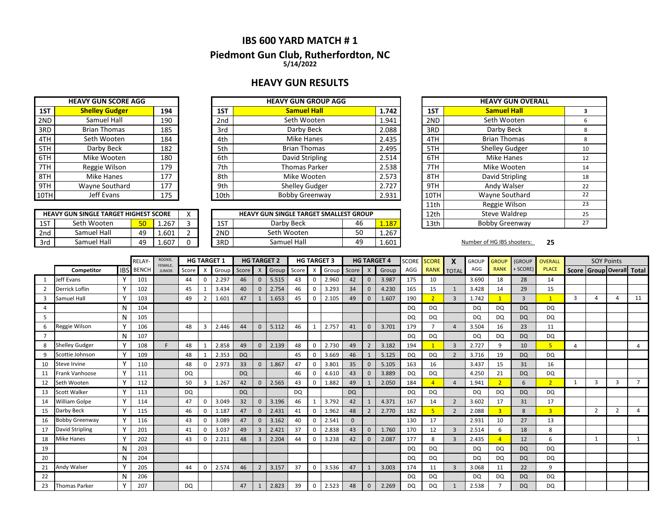## **IBS 600 YARD MATCH # 1**

### **Piedmont Gun Club, Rutherfordton, NC 5/14/2022**

## **HEAVY GUN RESULTS**

|      | <b>HEAVY GUN SCORE AGG</b> |     |                 | <b>HEAVY GUN GROUP AGG</b> |       |
|------|----------------------------|-----|-----------------|----------------------------|-------|
| 1ST  | <b>Shelley Gudger</b>      | 194 | 1ST             | <b>Samuel Hall</b>         | 1.742 |
| 2ND  | Samuel Hall                | 190 | 2 <sub>nd</sub> | Seth Wooten                | 1.941 |
| 3RD  | <b>Brian Thomas</b>        | 185 | 3rd             | Darby Beck                 | 2.088 |
| 4TH  | Seth Wooten                | 184 | 4th             | <b>Mike Hanes</b>          | 2.435 |
| 5TH  | Darby Beck                 | 182 | 5th             | <b>Brian Thomas</b>        | 2.495 |
| 6TH  | Mike Wooten                | 180 | 6th             | David Stripling            | 2.514 |
| 7TH  | Reggie Wilson              | 179 | 7th             | <b>Thomas Parker</b>       | 2.538 |
| 8TH  | Mike Hanes                 | 177 | 8th             | Mike Wooten                | 2.573 |
| 9TH  | Wayne Southard             | 177 | 9th             | <b>Shelley Gudger</b>      | 2.727 |
| 10TH | Jeff Evans                 | 175 | 10th            | <b>Bobby Greenway</b>      | 2.931 |

**HEAVY GUN SINGLE TARGET HIGHEST SCORE**

|     | <b>HEAVY GUN SINGLE TARGET HIGHEST SCORE</b> |                 |       | $\lambda$ |     | <b>HEAVY GUN SINGLE TARGET SMALLEST GROUP</b> |           |       | 12th | Steve Waldrep              |    |
|-----|----------------------------------------------|-----------------|-------|-----------|-----|-----------------------------------------------|-----------|-------|------|----------------------------|----|
| 1ST | Seth Wooten                                  | 50 <sub>1</sub> | 1.267 |           | 1ST | Darby Beck                                    | 46        | 187   | 13th | <b>Bobby Greenway</b>      |    |
| 2nd | Samuel Hall                                  | 49              | 1.601 |           | 2ND | Seth Wooten                                   | r o<br>JU | 1.267 |      |                            |    |
| 3rd | Samuel Hall                                  | 49              | 1.607 |           | 3RD | Samuel Hall                                   | 49        | 1.601 |      | Number of HG IBS shooters: | 25 |

| <b>EAVY GUN GROUP AGG</b>             |    |       |      | <b>HEAVY GUN OVERALL</b> |    |
|---------------------------------------|----|-------|------|--------------------------|----|
| <b>Samuel Hall</b>                    |    | 1.742 | 1ST  | <b>Samuel Hall</b>       | 3  |
| Seth Wooten                           |    | 1.941 | 2ND  | Seth Wooten              | 6  |
| Darby Beck                            |    | 2.088 | 3RD  | Darby Beck               | 8  |
| <b>Mike Hanes</b>                     |    | 2.435 | 4TH  | <b>Brian Thomas</b>      | 8  |
| <b>Brian Thomas</b>                   |    | 2.495 | 5TH  | <b>Shelley Gudger</b>    | 10 |
| David Stripling                       |    | 2.514 | 6TH  | <b>Mike Hanes</b>        | 12 |
| <b>Thomas Parker</b>                  |    | 2.538 | 7TH  | Mike Wooten              | 14 |
| Mike Wooten                           |    | 2.573 | 8TH  | David Stripling          | 18 |
| Shelley Gudger                        |    | 2.727 | 9TH  | Andy Walser              | 22 |
| <b>Bobby Greenway</b>                 |    | 2.931 | 10TH | Wayne Southard           | 22 |
|                                       |    |       | 11th | Reggie Wilson            | 23 |
| <b>N SINGLE TARGET SMALLEST GROUP</b> |    |       | 12th | <b>Steve Waldrep</b>     | 25 |
| Darby Beck                            | 46 | 1.187 | 13th | <b>Bobby Greenway</b>    | 27 |
|                                       |    |       |      |                          |    |

|    |                       |              | <b>RELAY</b>     | ROOKIE,<br>FEMALE, |           | <b>HG TARGET 1</b>        |       |           |                | <b>HG TARGET 2</b> |       | <b>HG TARGET 3</b> |       |           |                           | <b>HG TARGET 4</b> | <b>SCORE</b> | <b>SCORE</b>   |                          | <b>GROUP</b> | <b>GROUP</b> | <b>(GROUP</b>  | OVERALL        |              | <b>SOY Points</b>   |   |                |
|----|-----------------------|--------------|------------------|--------------------|-----------|---------------------------|-------|-----------|----------------|--------------------|-------|--------------------|-------|-----------|---------------------------|--------------------|--------------|----------------|--------------------------|--------------|--------------|----------------|----------------|--------------|---------------------|---|----------------|
|    | Competitor            |              | <b>IBS</b> BENCH | <b>JUNIOR</b>      | Score     | $\boldsymbol{\mathsf{x}}$ | Group | Score     | X              | Group              | Score | X                  | Group | Score     | $\boldsymbol{\mathsf{X}}$ | Group              | AGG          | <b>RANK</b>    | <b>TOTAL</b>             | AGG          | <b>RANK</b>  | <b>SCORE)</b>  | <b>PLACE</b>   | <b>Score</b> | Group Overall Total |   |                |
|    | Jeff Evans            |              | 101              |                    | 44        | 0                         | 2.297 | 46        | $\Omega$       | 5.515              | 43    | 0                  | 2.960 | 42        | $\mathbf{0}$              | 3.987              | 175          | 10             |                          | 3.690        | 18           | 28             | 14             |              |                     |   |                |
| 2  | Derrick Loflin        |              | 102              |                    | 45        |                           | 3.434 | 40        | $\Omega$       | 2.754              | 46    | 0                  | 3.293 | 34        | $\mathbf{0}$              | 4.230              | 165          | 15             | $\mathbf 1$              | 3.428        | 14           | 29             | 15             |              |                     |   |                |
| 3  | Samuel Hall           | $\checkmark$ | 103              |                    | 49        | $\overline{2}$            | 1.601 | 47        |                | 1.653              | 45    | 0                  | 2.105 | 49        | $\mathbf{0}$              | 1.607              | 190          | $\overline{2}$ | $\overline{3}$           | 1.742        |              | $\overline{3}$ | $\mathbf{1}$   | 3            | $\overline{a}$      |   | 11             |
| 4  |                       | N            | 104              |                    |           |                           |       |           |                |                    |       |                    |       |           |                           |                    | DQ           | <b>DQ</b>      |                          | DQ           | DQ           | <b>DQ</b>      | DQ.            |              |                     |   |                |
| 5  |                       | N            | 105              |                    |           |                           |       |           |                |                    |       |                    |       |           |                           |                    | DQ           | <b>DQ</b>      |                          | DQ           | DQ           | <b>DQ</b>      | DQ             |              |                     |   |                |
| 6  | Reggie Wilson         |              | 106              |                    | 48        | 3                         | 2.446 | 44        | $\mathbf 0$    | 5.112              | 46    |                    | 2.757 | 41        | $\mathbf{0}$              | 3.701              | 179          |                | $\overline{4}$           | 3.504        | 16           | 23             | 11             |              |                     |   |                |
|    |                       | N            | 107              |                    |           |                           |       |           |                |                    |       |                    |       |           |                           |                    | DQ           | <b>DQ</b>      |                          | DQ.          | <b>DQ</b>    | <b>DQ</b>      | DQ.            |              |                     |   |                |
| 8  | <b>Shelley Gudger</b> |              | 108              | F.                 | 48        |                           | 2.858 | 49        | $\mathbf 0$    | 2.139              | 48    | 0                  | 2.730 | 49        | $\overline{2}$            | 3.182              | 194          |                | $\overline{3}$           | 2.727        | q            | 10             | 5 <sup>1</sup> | Δ            |                     |   | $\overline{4}$ |
| 9  | Scottie Johnson       |              | 109              |                    | 48        |                           | 2.353 | <b>DQ</b> |                |                    | 45    | 0                  | 3.669 | 46        |                           | 5.125              | DQ           | <b>DQ</b>      | $\overline{\phantom{a}}$ | 3.716        | 19           | <b>DQ</b>      | DQ             |              |                     |   |                |
| 10 | Steve Irvine          |              | 110              |                    | 48        | $\Omega$                  | 2.973 | 33        | $\mathbf{0}$   | 1.867              | 47    | 0                  | 3.801 | 35        | $\Omega$                  | 5.105              | 163          | 16             |                          | 3.437        | 15           | 31             | 16             |              |                     |   |                |
| 11 | Frank Vanhoose        |              | 111              |                    | <b>DQ</b> |                           |       | <b>DQ</b> |                |                    | 46    | 0                  | 4.610 | 43        | $\Omega$                  | 3.889              | DQ           | <b>DQ</b>      |                          | 4.250        | 21           | <b>DQ</b>      | DQ             |              |                     |   |                |
| 12 | Seth Wooten           |              | 112              |                    | 50        | $\overline{3}$            | 1.267 | 42        | $\Omega$       | 2.565              | 43    | 0                  | 1.882 | 49        |                           | 2.050              | 184          |                | $\overline{a}$           | 1.941        |              | 6              | $\overline{2}$ |              | 3                   | 3 |                |
| 13 | Scott Walker          |              | 113              |                    | <b>DQ</b> |                           |       | <b>DQ</b> |                |                    | DQ    |                    |       | <b>DQ</b> |                           |                    | <b>DQ</b>    | <b>DQ</b>      |                          | DQ           | <b>DQ</b>    | <b>DQ</b>      | DQ             |              |                     |   |                |
| 14 | William Golpe         |              | 114              |                    | 47        | $\Omega$                  | 3.049 | 32        | $\mathbf{0}$   | 3.196              | 46    |                    | 3.792 | 42        |                           | 4.371              | 167          | 14             | $\overline{2}$           | 3.602        | 17           | 31             | 17             |              |                     |   |                |
| 15 | Darby Beck            |              | 115              |                    | 46        | 0                         | 1.187 | 47        | $\Omega$       | 2.431              | 41    | 0                  | 1.962 | 48        |                           | 2.770              | 182          | 5              | $\overline{2}$           | 2.088        |              | 8              | $\overline{3}$ |              | $\overline{2}$      |   | $\overline{4}$ |
| 16 | <b>Bobby Greenway</b> |              | 116              |                    | 43        | $\Omega$                  | 3.089 | 47        | $\mathbf{0}$   | 3.162              | 40    | 0                  | 2.541 | $\Omega$  |                           |                    | 130          | 17             |                          | 2.931        | 10           | 27             | 13             |              |                     |   |                |
| 17 | David Stripling       |              | 201              |                    | 41        | $\Omega$                  | 3.037 | 49        | 3              | 2.421              | 37    | 0                  | 2.838 | 43        | $\Omega$                  | 1.760              | 170          | 12             | $\overline{3}$           | 2.514        | 6            | 18             | 8              |              |                     |   |                |
| 18 | <b>Mike Hanes</b>     |              | 202              |                    | 43        | $\Omega$                  | 2.211 | 48        | $\overline{3}$ | 2.204              | 44    | 0                  | 3.238 | 42        | $\Omega$                  | 2.087              | 177          | 8              | $\overline{3}$           | 2.435        |              | 12             | 6              |              | $\mathbf{1}$        |   | $\mathbf{1}$   |
| 19 |                       | N            | 203              |                    |           |                           |       |           |                |                    |       |                    |       |           |                           |                    | DQ           | <b>DQ</b>      |                          | DQ           | DQ           | <b>DQ</b>      | DQ             |              |                     |   |                |
| 20 |                       | N            | 204              |                    |           |                           |       |           |                |                    |       |                    |       |           |                           |                    | <b>DQ</b>    | DQ             |                          | DQ           | DQ           | <b>DQ</b>      | DQ             |              |                     |   |                |
| 21 | Andy Walser           |              | 205              |                    | 44        | 0                         | 2.574 | 46        | $\overline{2}$ | 3.157              | 37    | 0                  | 3.536 | 47        | $\mathbf{1}$              | 3.003              | 174          | 11             | 3                        | 3.068        | 11           | 22             | 9              |              |                     |   |                |
| 22 |                       | N            | 206              |                    |           |                           |       |           |                |                    |       |                    |       |           |                           |                    | DQ           | DQ             |                          | DQ           | DQ           | <b>DQ</b>      | DQ             |              |                     |   |                |
| 23 | <b>Thomas Parker</b>  | ٧            | 207              |                    | DQ        |                           |       | 47        |                | 2.823              | 39    | 0                  | 2.523 | 48        | $\Omega$                  | 2.269              | DQ           | <b>DQ</b>      |                          | 2.538        |              | <b>DQ</b>      | <b>DQ</b>      |              |                     |   |                |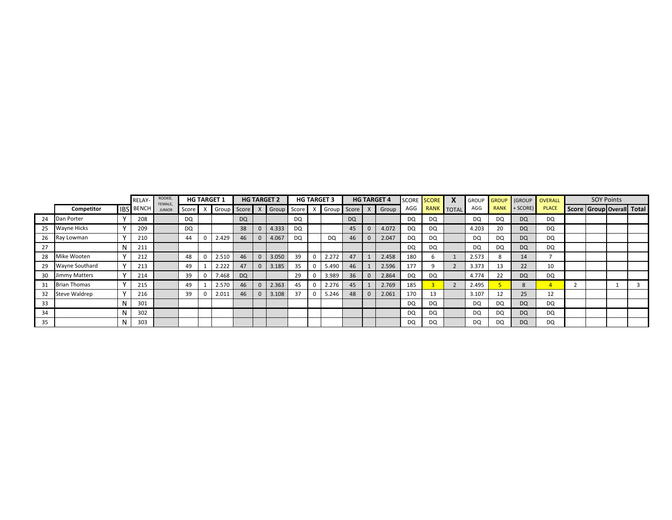|    |                      |     | RELAY-           | ROOKIE,<br>FEMALE, |           |   | <b>HG TARGET 1</b> |           |              | <b>HG TARGET 2</b> |           | <b>HG TARGET 3</b> |           |          | <b>HG TARGET 4</b> |           | SCORE SCORE | X | <b>GROUP</b> |             |           | <b>GROUP (GROUP OVERALL</b> |                           | <b>SOY Points</b> |  |
|----|----------------------|-----|------------------|--------------------|-----------|---|--------------------|-----------|--------------|--------------------|-----------|--------------------|-----------|----------|--------------------|-----------|-------------|---|--------------|-------------|-----------|-----------------------------|---------------------------|-------------------|--|
|    | Competitor           |     | <b>IBS BENCH</b> | <b>JUNIOR</b>      | Score     |   | Group              | Score X   |              | Group Score        |           | Group              | Score     |          | Group              | AGG       | RANK TOTAL  |   | AGG          | <b>RANK</b> | + SCORE)  | <b>PLACE</b>                | Score Group Overall Total |                   |  |
| 24 | Dan Porter           |     | 208              |                    | <b>DQ</b> |   |                    | <b>DQ</b> |              |                    | <b>DQ</b> |                    | <b>DQ</b> |          |                    | DQ        | DQ          |   | DQ           | DQ          | DQ        | DQ                          |                           |                   |  |
| 25 | <b>Wayne Hicks</b>   |     | 209              |                    | DQ        |   |                    | 38        | $\mathbf{0}$ | 4.333              | DQ        |                    | 45        | $\Omega$ | 4.072              | DQ        | DQ          |   | 4.203        | 20          | <b>DQ</b> | DQ                          |                           |                   |  |
| 26 | Ray Lowman           |     | 210              |                    | 44        |   | 2.429              | 46        | $\mathbf{0}$ | 4.067              | DQ        | <b>DQ</b>          | 46        |          | 2.047              | DQ        | DQ          |   | DQ           | <b>DQ</b>   | <b>DQ</b> | DQ                          |                           |                   |  |
| 27 |                      |     | 211              |                    |           |   |                    |           |              |                    |           |                    |           |          |                    | DQ        | DQ          |   | DQ           | <b>DQ</b>   | <b>DQ</b> | DQ                          |                           |                   |  |
| 28 | Mike Wooten          |     | 212              |                    | 48        |   | 2.510              | 46        | $\mathbf{0}$ | 3.050              | 39        | 2.272              | 47        |          | 2.458              | 180       |             |   | 2.573        |             | 14        |                             |                           |                   |  |
| 29 | Wayne Southard       |     | 213              |                    | 49        |   | 2.222              | 47        | $\mathbf{0}$ | 3.185              | 35        | 5.490              | 46        |          | 2.596              | 177       |             |   | 3.373        | 13          | 22        | 10                          |                           |                   |  |
| 30 | <b>Jimmy Matters</b> |     | 214              |                    | 39        | 0 | 7.468              | <b>DQ</b> |              |                    | 29        | 3.989              | 36        | $\Omega$ | 2.864              | DQ        | DQ          |   | 4.774        | 22          | DQ        | DQ                          |                           |                   |  |
| 31 | <b>Brian Thomas</b>  |     | 215              |                    | 49        |   | 2.570              | 46        | $\mathbf{0}$ | 2.363              | 45        | 2.276              | 45        |          | 2.769              | 185       |             |   | 2.495        |             |           |                             |                           |                   |  |
| 32 | Steve Waldrep        |     | 216              |                    | 39        |   | 2.011              | 46        | $\mathbf{0}$ | 3.108              | 37        | 5.246              | 48        |          | 2.061              | 170       | 13          |   | 3.107        | 12          | 25        | 12                          |                           |                   |  |
| 33 |                      | N   | 301              |                    |           |   |                    |           |              |                    |           |                    |           |          |                    | DQ        | DQ          |   | DQ           | DQ          | <b>DQ</b> | DQ                          |                           |                   |  |
| 34 |                      |     | 302              |                    |           |   |                    |           |              |                    |           |                    |           |          |                    | DQ        | DQ          |   | DQ           | <b>DQ</b>   | <b>DQ</b> | DQ                          |                           |                   |  |
| 35 |                      | IN. | 303              |                    |           |   |                    |           |              |                    |           |                    |           |          |                    | <b>DQ</b> | DQ          |   | DQ           | <b>DQ</b>   | <b>DQ</b> | DQ                          |                           |                   |  |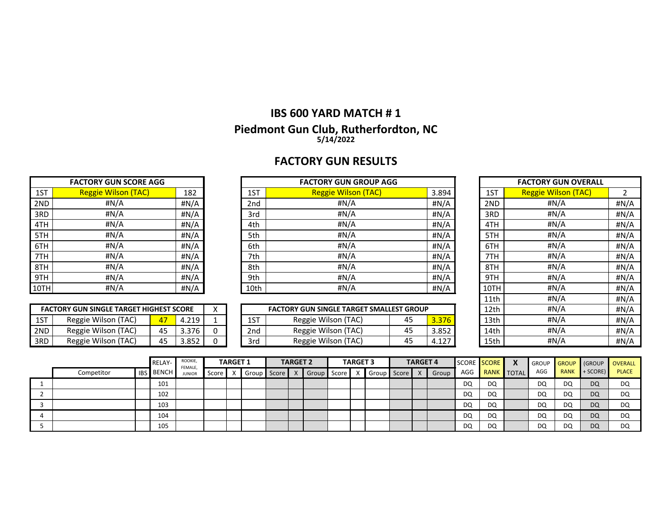# **IBS 600 YARD MATCH # 1 Piedmont Gun Club, Rutherfordton, NC 5/14/2022**

# **FACTORY GUN RESULTS**

|      | <b>FACTORY GUN SCORE AGG</b> |      |      | <b>FACTORY GUN GROUP AGG</b> |       |      | <b>FACTORY GUN OVERALL</b> |              |
|------|------------------------------|------|------|------------------------------|-------|------|----------------------------|--------------|
| 1ST  | <b>Reggie Wilson (TAC)</b>   | 182  | 1ST  | <b>Reggie Wilson (TAC)</b>   | 3.894 | 1ST  | <b>Reggie Wilson (TAC)</b> |              |
| 2ND  | #N/A                         | #N/A | 2nd  | #N/A                         | #N/A  | 2ND  | #N/A                       | #N/A         |
| 3RD  | #N/A                         | #N/A | 3rd  | #N/A                         | #N/A  | 3RD  | #N/A                       | #N/A         |
| 4TH  | #N/A                         | #N/A | 4th  | #N/A                         | #N/A  | 4TH  | #N/A                       | #N/A         |
| 5TH  | #N/A                         | #N/A | 5th  | #N/A                         | #N/A  | 5TH  | #N/A                       | #N/A         |
| 6TH  | #N/A                         | #N/A | 6th  | #N/A                         | #N/A  | 6TH  | #N/A                       | #N/A         |
| 7TH  | #N/A                         | #N/A | 7th  | #N/A                         | #N/A  | 7TH  | #N/A                       | #N/A         |
| 8TH  | #N/A                         | #N/A | 8th  | #N/A                         | #N/A  | 8TH  | #N/A                       | #N/A         |
| 9TH  | #N/A                         | #N/A | 9th  | #N/A                         | #N/A  | 9TH  | #N/A                       | #N/A         |
| 10TH | #N/A                         | #N/A | 10th | #N/A                         | #N/A  | 10TH | #N/A                       | #N/A         |
|      |                              |      |      |                              |       | 11th | $\text{H} N/\Delta$        | $H N/\Delta$ |

|       | <b>FACTORY GUN SINGLE TARGET HIGHEST SCORE</b> |    |       |  |
|-------|------------------------------------------------|----|-------|--|
| 1ST.  | Reggie Wilson (TAC)                            |    | 4.219 |  |
| 2ND   | Reggie Wilson (TAC)                            | 45 | 3.376 |  |
| l 3RD | Reggie Wilson (TAC)                            | 45 | 3.852 |  |

|            | <b>FACTORY GUN SINGLE TARGET HIGHEST SCORE</b> |    |       |  |             | <b>FACTORY GUN SINGLE TARGET SMALLEST GROUP</b> |    |                       | 12th | #N/A | #N/A |
|------------|------------------------------------------------|----|-------|--|-------------|-------------------------------------------------|----|-----------------------|------|------|------|
| 1CT<br>LJ. | (TAC)<br>Reggie Wilson (                       |    | 210   |  | 1 C.T<br>12 | Reggie Wilson<br>(TAC)                          | Δ⊏ | 376<br>               | 13th | #N/A | #N/A |
| 2ND        | (TAC)<br>Reggie Wilson (                       | 45 | 3.376 |  | 2nd         | Reggie Wilson<br>(TAC)                          | 45 | 3.852                 | 14th | #N/A | #N/A |
| 3RD        | (TAC)<br>Reggie Wilson (                       | 45 | 3.852 |  | 3rd         | (TAC)<br>Reggie Wilson                          | 45 | 127<br><b>LL</b><br>. | 15th | #N/A | #N/A |

| 1ST  | <b>Reggie Wilson (TAC)</b> | $\overline{2}$ |
|------|----------------------------|----------------|
| 2ND  | #N/A                       | # $N/A$        |
| 3RD  | #N/A                       | #N/A           |
| 4TH  | #N/A                       | #N/A           |
| 5TH  | #N/A                       | #N/A           |
| 6TH  | #N/A                       | #N/A           |
| 7TH  | #N/A                       | #N/A           |
| 8TH  | #N/A                       | #N/A           |
| 9TH  | #N/A                       | #N/A           |
| 10TH | #N/A                       | #N/A           |
| 11th | #N/A                       | #N/A           |
| 12th | #N/A                       | #N/A           |
| 13th | #N/A                       | #N/A           |
| 14th | #N/A                       | #N/A           |
| 15th | #N/A                       | #N/A           |

|   |            |            | <b>RELAY-</b> | ROOKIE,<br>FEMALE. |       | <b>TARGET 1</b> |       |       | <b>TARGET 2</b> |       |       | <b>TARGET 3</b> |       |       | <b>TARGET 4</b> |       |     | SCORE SCORE | X            | <b>GROUP</b> | <b>GROUP</b> | (GROUP    | <b>OVERALL</b> |
|---|------------|------------|---------------|--------------------|-------|-----------------|-------|-------|-----------------|-------|-------|-----------------|-------|-------|-----------------|-------|-----|-------------|--------------|--------------|--------------|-----------|----------------|
|   | Competitor | <b>IBS</b> | <b>BENCH</b>  | <b>JUNIOR</b>      | Score |                 | Group | Score |                 | Group | Score |                 | Group | Score |                 | Group | AGG | RANK        | <b>TOTAL</b> | AGG          | <b>RANK</b>  | + SCORE)  | <b>PLACE</b>   |
|   |            |            | 101           |                    |       |                 |       |       |                 |       |       |                 |       |       |                 |       | DQ  | DQ          |              | DQ           | DQ           | <b>DQ</b> | DQ             |
|   |            |            | 102           |                    |       |                 |       |       |                 |       |       |                 |       |       |                 |       | DQ  | DQ          |              | DQ           | DQ           | DQ        | DQ             |
|   |            |            | 103           |                    |       |                 |       |       |                 |       |       |                 |       |       |                 |       | DQ  | DQ          |              | DQ           | DQ           | <b>DQ</b> | DQ             |
| д |            |            | 104           |                    |       |                 |       |       |                 |       |       |                 |       |       |                 |       | DQ  | DQ          |              | DQ           | DQ           | DQ        | DQ             |
|   |            |            | 105           |                    |       |                 |       |       |                 |       |       |                 |       |       |                 |       | DQ  | DQ          |              | DQ           | DQ           | <b>DQ</b> | DQ             |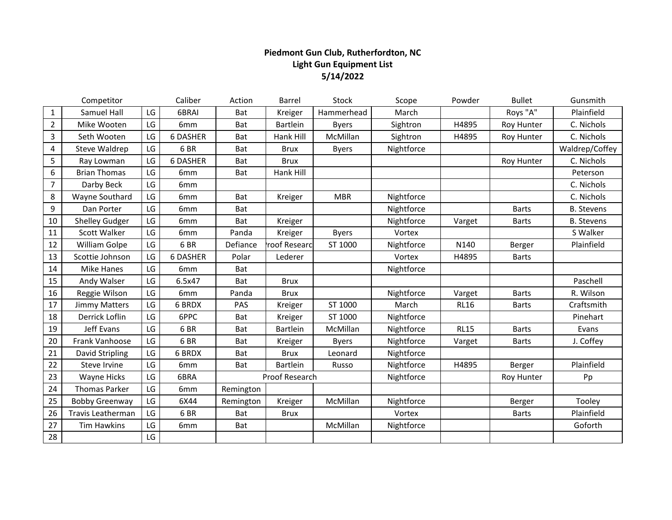## **Piedmont Gun Club, Rutherfordton, NC Light Gun Equipment List 5/14/2022**

|                | Competitor            |    | Caliber         | Action     | Barrel          | Stock        | Scope      | Powder      | <b>Bullet</b> | Gunsmith          |
|----------------|-----------------------|----|-----------------|------------|-----------------|--------------|------------|-------------|---------------|-------------------|
| $\mathbf{1}$   | Samuel Hall           | LG | 6BRAI           | Bat        | Kreiger         | Hammerhead   | March      |             | Roys "A"      | Plainfield        |
| $\overline{2}$ | Mike Wooten           | LG | 6mm             | Bat        | Bartlein        | <b>Byers</b> | Sightron   | H4895       | Roy Hunter    | C. Nichols        |
| 3              | Seth Wooten           | LG | <b>6 DASHER</b> | Bat        | Hank Hill       | McMillan     | Sightron   | H4895       | Roy Hunter    | C. Nichols        |
| 4              | Steve Waldrep         | LG | 6BR             | Bat        | <b>Brux</b>     | <b>Byers</b> | Nightforce |             |               | Waldrep/Coffey    |
| 5              | Ray Lowman            | LG | <b>6 DASHER</b> | Bat        | <b>Brux</b>     |              |            |             | Roy Hunter    | C. Nichols        |
| 6              | <b>Brian Thomas</b>   | LG | 6mm             | Bat        | Hank Hill       |              |            |             |               | Peterson          |
| $\overline{7}$ | Darby Beck            | LG | 6 <sub>mm</sub> |            |                 |              |            |             |               | C. Nichols        |
| 8              | Wayne Southard        | LG | 6 <sub>mm</sub> | Bat        | Kreiger         | <b>MBR</b>   | Nightforce |             |               | C. Nichols        |
| 9              | Dan Porter            | LG | 6mm             | Bat        |                 |              | Nightforce |             | <b>Barts</b>  | <b>B.</b> Stevens |
| 10             | <b>Shelley Gudger</b> | LG | 6mm             | Bat        | Kreiger         |              | Nightforce | Varget      | <b>Barts</b>  | <b>B.</b> Stevens |
| 11             | Scott Walker          | LG | 6mm             | Panda      | Kreiger         | <b>Byers</b> | Vortex     |             |               | S Walker          |
| 12             | William Golpe         | LG | 6BR             | Defiance   | roof Researc    | ST 1000      | Nightforce | N140        | Berger        | Plainfield        |
| 13             | Scottie Johnson       | LG | <b>6 DASHER</b> | Polar      | Lederer         |              | Vortex     | H4895       | <b>Barts</b>  |                   |
| 14             | <b>Mike Hanes</b>     | LG | 6 <sub>mm</sub> | Bat        |                 |              | Nightforce |             |               |                   |
| 15             | Andy Walser           | LG | 6.5x47          | Bat        | <b>Brux</b>     |              |            |             |               | Paschell          |
| 16             | Reggie Wilson         | LG | 6mm             | Panda      | <b>Brux</b>     |              | Nightforce | Varget      | <b>Barts</b>  | R. Wilson         |
| 17             | Jimmy Matters         | LG | 6 BRDX          | <b>PAS</b> | Kreiger         | ST 1000      | March      | <b>RL16</b> | <b>Barts</b>  | Craftsmith        |
| 18             | Derrick Loflin        | LG | 6PPC            | Bat        | Kreiger         | ST 1000      | Nightforce |             |               | Pinehart          |
| 19             | Jeff Evans            | LG | 6BR             | Bat        | Bartlein        | McMillan     | Nightforce | <b>RL15</b> | <b>Barts</b>  | Evans             |
| 20             | Frank Vanhoose        | LG | 6BR             | Bat        | Kreiger         | <b>Byers</b> | Nightforce | Varget      | <b>Barts</b>  | J. Coffey         |
| 21             | David Stripling       | LG | <b>6 BRDX</b>   | Bat        | <b>Brux</b>     | Leonard      | Nightforce |             |               |                   |
| 22             | Steve Irvine          | LG | 6 <sub>mm</sub> | Bat        | <b>Bartlein</b> | Russo        | Nightforce | H4895       | Berger        | Plainfield        |
| 23             | <b>Wayne Hicks</b>    | LG | 6BRA            |            | Proof Research  |              | Nightforce |             | Roy Hunter    | Pp                |
| 24             | <b>Thomas Parker</b>  | LG | 6mm             | Remington  |                 |              |            |             |               |                   |
| 25             | <b>Bobby Greenway</b> | LG | 6X44            | Remington  | Kreiger         | McMillan     | Nightforce |             | Berger        | Tooley            |
| 26             | Travis Leatherman     | LG | 6BR             | Bat        | <b>Brux</b>     |              | Vortex     |             | <b>Barts</b>  | Plainfield        |
| 27             | <b>Tim Hawkins</b>    | LG | 6mm             | Bat        |                 | McMillan     | Nightforce |             |               | Goforth           |
| 28             |                       | LG |                 |            |                 |              |            |             |               |                   |